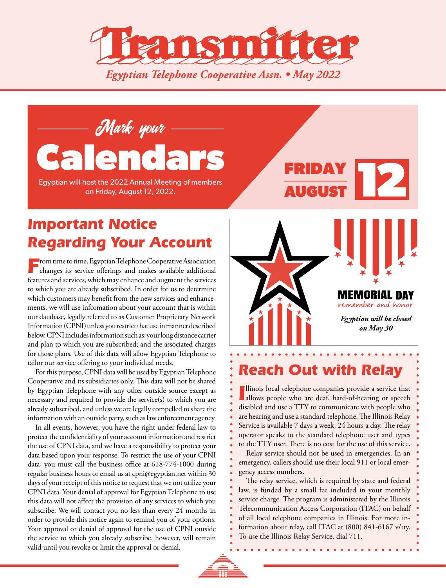



Egyptian will host the 2022 Annual Meeting of members on Friday, August 12, 2022.

# AUGUST FRIDAY

## *Important Notice Regarding Your Account*

From time to time, Egyptian Telephone Cooperative Association changes its service offerings and makes available additional features and services, which may enhance and augment the services to which you are already subscribed. In order for us to determine which customers may benefit from the new services and enhancements, we will use information about your account that is within our database, legally referred to as Customer Proprietary Network Information (CPNI) unless you restrict that use in manner described below. CPNI includes information such as: your long distance carrier and plan to which you are subscribed; and the associated charges for those plans. Use of this data will allow Egyptian Telephone to tailor our service offering to your individual needs.

For this purpose, CPNI data will be used by Egyptian Telephone Cooperative and its subsidiaries only. This data will not be shared by Egyptian Telephone with any other outside source except as necessary and required to provide the service(s) to which you are already subscribed, and unless we are legally compelled to share the information with an outside party, such as law enforcement agency.

In all events, however, you have the right under federal law to protect the confidentiality of your account information and restrict the use of CPNI data, and we have a responsibility to protect your data based upon your response. To restrict the use of your CPNI data, you must call the business office at 618-774-1000 during regular business hours or email us at cpni@egyptian.net within 30 days of your receipt of this notice to request that we not utilize your CPNI data. Your denial of approval for Egyptian Telephone to use this data will not affect the provision of any services to which you subscribe. We will contact you no less than every 24 months in order to provide this notice again to remind you of your options. Your approval or denial of approval for the use of CPNI outside the service to which you already subscribe, however, will remain valid until you revoke or limit the approval or denial.



#### *Reach Out with Relay*

**Illinois local telephone companies provide a service that allows people who are deaf, hard-of-hearing or speech** llinois local telephone companies provide a service that disabled and use a TTY to communicate with people who are hearing and use a standard telephone. The Illinois Relay Service is available 7 days a week, 24 hours a day. The relay operator speaks to the standard telephone user and types to the TTY user. There is no cost for the use of this service.

Relay service should not be used in emergencies. In an emergency, callers should use their local 911 or local emergency access numbers.

The relay service, which is required by state and federal law, is funded by a small fee included in your monthly service charge. The program is administered by the Illinois Telecommunication Access Corporation (ITAC) on behalf of all local telephone companies in Illinois. For more information about relay, call ITAC at (800) 841-6167 v/tty. To use the Illinois Relay Service, dial 711.